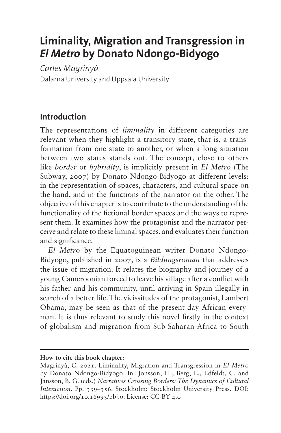# **Liminality, Migration and Transgression in**  *El Metro* **by Donato Ndongo-Bidyogo**

*Carles Magrinyà* Dalarna University and Uppsala University

## **Introduction**

The representations of *liminality* in different categories are relevant when they highlight a transitory state, that is, a transformation from one state to another, or when a long situation between two states stands out. The concept, close to others like *border* or *hybridity*, is implicitly present in *El Metro* (The Subway, 2007) by Donato Ndongo-Bidyogo at different levels: in the representation of spaces, characters, and cultural space on the hand, and in the functions of the narrator on the other. The objective of this chapter is to contribute to the understanding of the functionality of the fictional border spaces and the ways to represent them. It examines how the protagonist and the narrator perceive and relate to these liminal spaces, and evaluates their function and significance.

*El Metro* by the Equatoguinean writer Donato Ndongo-Bidyogo, published in 2007, is a *Bildungsroman* that addresses the issue of migration. It relates the biography and journey of a young Cameroonian forced to leave his village after a conflict with his father and his community, until arriving in Spain illegally in search of a better life. The vicissitudes of the protagonist, Lambert Obama, may be seen as that of the present-day African everyman. It is thus relevant to study this novel firstly in the context of globalism and migration from Sub-Saharan Africa to South

**How to cite this book chapter:**

Magrinyà, C. 2021. Liminality, Migration and Transgression in *El Metro* by Donato Ndongo-Bidyogo. In: Jonsson, H., Berg, L., Edfeldt, C. and Jansson, B. G. (eds.) *Narratives Crossing Borders: The Dynamics of Cultural Interaction.* Pp. 339–356. Stockholm: Stockholm University Press. DOI: <https://doi.org/10.16993/bbj.o>. License: CC-BY 4.0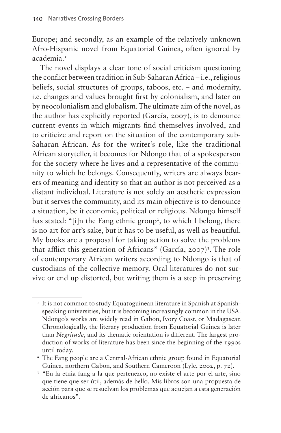Europe; and secondly, as an example of the relatively unknown Afro-Hispanic novel from Equatorial Guinea, often ignored by academia.<sup>[1](#page-1-0)</sup>

The novel displays a clear tone of social criticism questioning the conflict between tradition in Sub-Saharan Africa – i.e., religious beliefs, social structures of groups, taboos, etc. – and modernity, i.e. changes and values brought first by colonialism, and later on by neocolonialism and globalism. The ultimate aim of the novel, as the author has explicitly reported (García, 2007), is to denounce current events in which migrants find themselves involved, and to criticize and report on the situation of the contemporary sub-Saharan African. As for the writer's role, like the traditional African storyteller, it becomes for Ndongo that of a spokesperson for the society where he lives and a representative of the community to which he belongs. Consequently, writers are always bearers of meaning and identity so that an author is not perceived as a distant individual. Literature is not solely an aesthetic expression but it serves the community, and its main objective is to denounce a situation, be it economic, political or religious. Ndongo himself has stated: "[i]n the Fang ethnic group<sup>[2](#page-1-1)</sup>, to which I belong, there is no art for art's sake, but it has to be useful, as well as beautiful. My books are a proposal for taking action to solve the problems that afflict this generation of Africans" (García, 2007)<sup>[3](#page-1-2)</sup>. The role of contemporary African writers according to Ndongo is that of custodians of the collective memory. Oral literatures do not survive or end up distorted, but writing them is a step in preserving

<span id="page-1-0"></span><sup>&</sup>lt;sup>1</sup> It is not common to study Equatoguinean literature in Spanish at Spanishspeaking universities, but it is becoming increasingly common in the USA. Ndongo's works are widely read in Gabon, Ivory Coast, or Madagascar. Chronologically, the literary production from Equatorial Guinea is later than *Negritude*, and its thematic orientation is different. The largest production of works of literature has been since the beginning of the 1990s until today.

<span id="page-1-1"></span><sup>&</sup>lt;sup>2</sup> The Fang people are a Central-African ethnic group found in Equatorial Guinea, northern Gabon, and Southern Cameroon (Lyle, 2002, p. 72).

<span id="page-1-2"></span><sup>3</sup> "En la etnia fang a la que pertenezco, no existe el arte por el arte, sino que tiene que ser útil, además de bello. Mis libros son una propuesta de acción para que se resuelvan los problemas que aquejan a esta generación de africanos".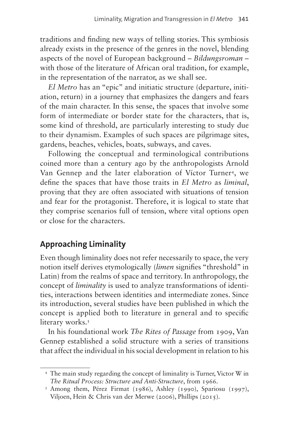traditions and finding new ways of telling stories. This symbiosis already exists in the presence of the genres in the novel, blending aspects of the novel of European background – *Bildungsroman* – with those of the literature of African oral tradition, for example, in the representation of the narrator, as we shall see.

*El Metro* has an "epic" and initiatic structure (departure, initiation, return) in a journey that emphasizes the dangers and fears of the main character. In this sense, the spaces that involve some form of intermediate or border state for the characters, that is, some kind of threshold, are particularly interesting to study due to their dynamism. Examples of such spaces are pilgrimage sites, gardens, beaches, vehicles, boats, subways, and caves.

Following the conceptual and terminological contributions coined more than a century ago by the anthropologists Arnold Van Gennep and the later elaboration of Víctor Turner<sup>4</sup>, we define the spaces that have those traits in *El Metro* as *liminal*, proving that they are often associated with situations of tension and fear for the protagonist. Therefore, it is logical to state that they comprise scenarios full of tension, where vital options open or close for the characters.

## **Approaching Liminality**

Even though liminality does not refer necessarily to space, the very notion itself derives etymologically (*limen* signifies "threshold" in Latin) from the realms of space and territory. In anthropology, the concept of *liminality* is used to analyze transformations of identities, interactions between identities and intermediate zones. Since its introduction, several studies have been published in which the concept is applied both to literature in general and to specific literary works.<sup>5</sup>

In his foundational work *The Rites of Passage* from 1909, Van Gennep established a solid structure with a series of transitions that affect the individual in his social development in relation to his

<span id="page-2-0"></span><sup>4</sup> The main study regarding the concept of liminality is Turner, Victor W in *The Ritual Process: Structure and Anti-Structure*, from 1966.

<span id="page-2-1"></span><sup>5</sup> Among them, Pérez Firmat (1986), Ashley (1990), Spariosu (1997), Viljoen, Hein & Chris van der Merwe (2006), Phillips (2015).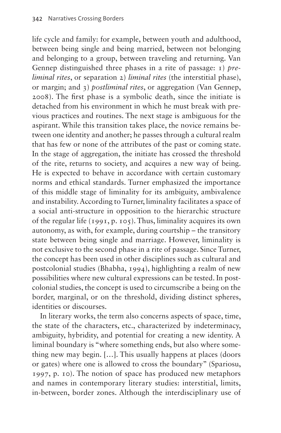life cycle and family: for example, between youth and adulthood, between being single and being married, between not belonging and belonging to a group, between traveling and returning. Van Gennep distinguished three phases in a rite of passage: 1) *preliminal rites*, or separation 2) *liminal rites* (the interstitial phase), or margin; and 3) *postliminal rites*, or aggregation (Van Gennep, 2008). The first phase is a symbolic death, since the initiate is detached from his environment in which he must break with previous practices and routines. The next stage is ambiguous for the aspirant. While this transition takes place, the novice remains between one identity and another; he passes through a cultural realm that has few or none of the attributes of the past or coming state. In the stage of aggregation, the initiate has crossed the threshold of the rite, returns to society, and acquires a new way of being. He is expected to behave in accordance with certain customary norms and ethical standards. Turner emphasized the importance of this middle stage of liminality for its ambiguity, ambivalence and instability. According to Turner, liminality facilitates a space of a social anti-structure in opposition to the hierarchic structure of the regular life (1991, p. 105). Thus, liminality acquires its own autonomy, as with, for example, during courtship – the transitory state between being single and marriage. However, liminality is not exclusive to the second phase in a rite of passage. Since Turner, the concept has been used in other disciplines such as cultural and postcolonial studies (Bhabha, 1994), highlighting a realm of new possibilities where new cultural expressions can be tested. In postcolonial studies, the concept is used to circumscribe a being on the border, marginal, or on the threshold, dividing distinct spheres, identities or discourses.

In literary works, the term also concerns aspects of space, time, the state of the characters, etc., characterized by indeterminacy, ambiguity, hybridity, and potential for creating a new identity. A liminal boundary is "where something ends, but also where something new may begin. […]. This usually happens at places (doors or gates) where one is allowed to cross the boundary" (Spariosu, 1997, p. 10). The notion of space has produced new metaphors and names in contemporary literary studies: interstitial, limits, in-between, border zones. Although the interdisciplinary use of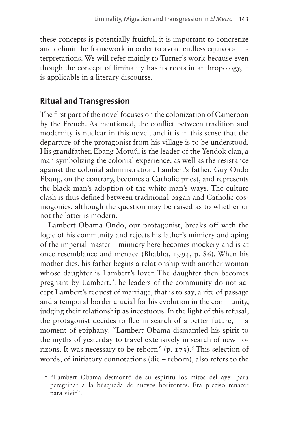these concepts is potentially fruitful, it is important to concretize and delimit the framework in order to avoid endless equivocal interpretations. We will refer mainly to Turner's work because even though the concept of liminality has its roots in anthropology, it is applicable in a literary discourse.

#### **Ritual and Transgression**

The first part of the novel focuses on the colonization of Cameroon by the French. As mentioned, the conflict between tradition and modernity is nuclear in this novel, and it is in this sense that the departure of the protagonist from his village is to be understood. His grandfather, Ebang Motuú, is the leader of the Yendok clan, a man symbolizing the colonial experience, as well as the resistance against the colonial administration. Lambert's father, Guy Ondo Ebang, on the contrary, becomes a Catholic priest, and represents the black man's adoption of the white man's ways. The culture clash is thus defined between traditional pagan and Catholic cosmogonies, although the question may be raised as to whether or not the latter is modern.

Lambert Obama Ondo, our protagonist, breaks off with the logic of his community and rejects his father's mimicry and aping of the imperial master – mimicry here becomes mockery and is at once resemblance and menace (Bhabha, 1994, p. 86). When his mother dies, his father begins a relationship with another woman whose daughter is Lambert's lover. The daughter then becomes pregnant by Lambert. The leaders of the community do not accept Lambert's request of marriage, that is to say, a rite of passage and a temporal border crucial for his evolution in the community, judging their relationship as incestuous. In the light of this refusal, the protagonist decides to flee in search of a better future, in a moment of epiphany: "Lambert Obama dismantled his spirit to the myths of yesterday to travel extensively in search of new horizons. It was necessary to be reborn"  $(p, 173)$ . This selection of words, of initiatory connotations (die – reborn), also refers to the

<span id="page-4-0"></span><sup>6</sup> "Lambert Obama desmontó de su espíritu los mitos del ayer para peregrinar a la búsqueda de nuevos horizontes. Era preciso renacer para vivir".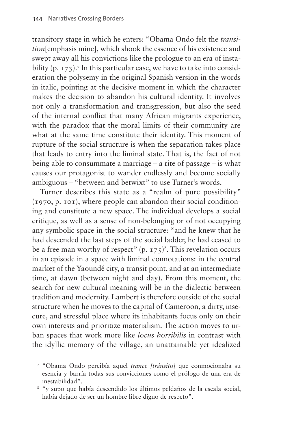transitory stage in which he enters: "Obama Ondo felt the *transition*[emphasis mine], which shook the essence of his existence and swept away all his convictions like the prologue to an era of instability (p. 173).<sup>7</sup> In this particular case, we have to take into consideration the polysemy in the original Spanish version in the words in italic, pointing at the decisive moment in which the character makes the decision to abandon his cultural identity. It involves not only a transformation and transgression, but also the seed of the internal conflict that many African migrants experience, with the paradox that the moral limits of their community are what at the same time constitute their identity. This moment of rupture of the social structure is when the separation takes place that leads to entry into the liminal state. That is, the fact of not being able to consummate a marriage – a rite of passage – is what causes our protagonist to wander endlessly and become socially ambiguous – "between and betwixt" to use Turner's words.

Turner describes this state as a "realm of pure possibility" (1970, p. 101), where people can abandon their social conditioning and constitute a new space. The individual develops a social critique, as well as a sense of non-belonging or of not occupying any symbolic space in the social structure: "and he knew that he had descended the last steps of the social ladder, he had ceased to be a free man worthy of respect"  $(p, 175)^8$ . This revelation occurs in an episode in a space with liminal connotations: in the central market of the Yaoundé city, a transit point, and at an intermediate time, at dawn (between night and day). From this moment, the search for new cultural meaning will be in the dialectic between tradition and modernity. Lambert is therefore outside of the social structure when he moves to the capital of Cameroon, a dirty, insecure, and stressful place where its inhabitants focus only on their own interests and prioritize materialism. The action moves to urban spaces that work more like *locus horribilis* in contrast with the idyllic memory of the village, an unattainable yet idealized

<span id="page-5-0"></span><sup>7</sup> "Obama Ondo percibía aquel *trance [tránsito]* que conmocionaba su esencia y barría todas sus convicciones como el prólogo de una era de inestabilidad".

<span id="page-5-1"></span><sup>8</sup> "y supo que había descendido los últimos peldaños de la escala social, había dejado de ser un hombre libre digno de respeto".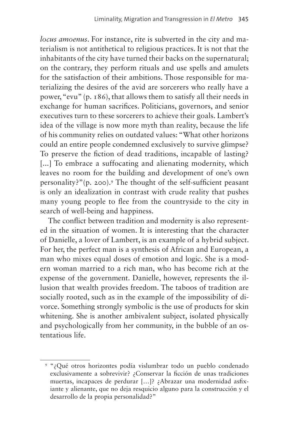*locus amoenus*. For instance, rite is subverted in the city and materialism is not antithetical to religious practices. It is not that the inhabitants of the city have turned their backs on the supernatural; on the contrary, they perform rituals and use spells and amulets for the satisfaction of their ambitions. Those responsible for materializing the desires of the avid are sorcerers who really have a power, "evu" (p. 186), that allows them to satisfy all their needs in exchange for human sacrifices. Politicians, governors, and senior executives turn to these sorcerers to achieve their goals. Lambert's idea of the village is now more myth than reality, because the life of his community relies on outdated values: "What other horizons could an entire people condemned exclusively to survive glimpse? To preserve the fiction of dead traditions, incapable of lasting? [...] To embrace a suffocating and alienating modernity, which leaves no room for the building and development of one's own personality?"(p. 200).[9](#page-6-0) The thought of the self-sufficient peasant is only an idealization in contrast with crude reality that pushes many young people to flee from the countryside to the city in search of well-being and happiness.

The conflict between tradition and modernity is also represented in the situation of women. It is interesting that the character of Danielle, a lover of Lambert, is an example of a hybrid subject. For her, the perfect man is a synthesis of African and European, a man who mixes equal doses of emotion and logic. She is a modern woman married to a rich man, who has become rich at the expense of the government. Danielle, however, represents the illusion that wealth provides freedom. The taboos of tradition are socially rooted, such as in the example of the impossibility of divorce. Something strongly symbolic is the use of products for skin whitening. She is another ambivalent subject, isolated physically and psychologically from her community, in the bubble of an ostentatious life.

<span id="page-6-0"></span><sup>9</sup> "¿Qué otros horizontes podía vislumbrar todo un pueblo condenado exclusivamente a sobrevivir? ¿Conservar la ficción de unas tradiciones muertas, incapaces de perdurar […]? ¿Abrazar una modernidad asfixiante y alienante, que no deja resquicio alguno para la construcción y el desarrollo de la propia personalidad?"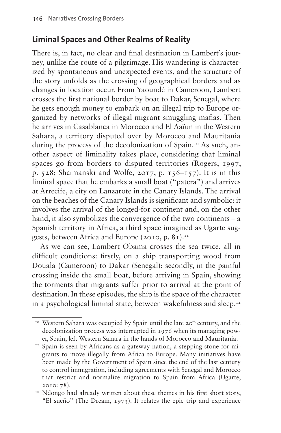#### **Liminal Spaces and Other Realms of Reality**

There is, in fact, no clear and final destination in Lambert's journey, unlike the route of a pilgrimage. His wandering is characterized by spontaneous and unexpected events, and the structure of the story unfolds as the crossing of geographical borders and as changes in location occur. From Yaoundé in Cameroon, Lambert crosses the first national border by boat to Dakar, Senegal, where he gets enough money to embark on an illegal trip to Europe organized by networks of illegal-migrant smuggling mafias. Then he arrives in Casablanca in Morocco and El Aaïun in the Western Sahara, a territory disputed over by Morocco and Mauritania during the process of the decolonization of Spain.<sup>10</sup> As such, another aspect of liminality takes place, considering that liminal spaces go from borders to disputed territories (Rogers, 1997, p. 528; Shcimanski and Wolfe, 2017, p. 156–157). It is in this liminal space that he embarks a small boat ("patera") and arrives at Arrecife, a city on Lanzarote in the Canary Islands. The arrival on the beaches of the Canary Islands is significant and symbolic: it involves the arrival of the longed-for continent and, on the other hand, it also symbolizes the convergence of the two continents – a Spanish territory in Africa, a third space imagined as Ugarte suggests, between Africa and Europe (2010, p. 81).<sup>11</sup>

As we can see, Lambert Obama crosses the sea twice, all in difficult conditions: firstly, on a ship transporting wood from Douala (Cameroon) to Dakar (Senegal); secondly, in the painful crossing inside the small boat, before arriving in Spain, showing the torments that migrants suffer prior to arrival at the point of destination. In these episodes, the ship is the space of the character in a psychological liminal state, between wakefulness and sleep.<sup>12</sup>

<span id="page-7-0"></span><sup>&</sup>lt;sup>10</sup> Western Sahara was occupied by Spain until the late 20<sup>th</sup> century, and the decolonization process was interrupted in 1976 when its managing power, Spain, left Western Sahara in the hands of Morocco and Mauritania.

<span id="page-7-1"></span><sup>&</sup>lt;sup>11</sup> Spain is seen by Africans as a gateway nation, a stepping stone for migrants to move illegally from Africa to Europe. Many initiatives have been made by the Government of Spain since the end of the last century to control immigration, including agreements with Senegal and Morocco that restrict and normalize migration to Spain from Africa (Ugarte, 2010: 78).

<span id="page-7-2"></span><sup>&</sup>lt;sup>12</sup> Ndongo had already written about these themes in his first short story, "El sueño" (The Dream, 1973). It relates the epic trip and experience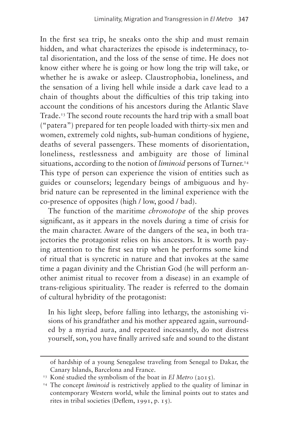In the first sea trip, he sneaks onto the ship and must remain hidden, and what characterizes the episode is indeterminacy, total disorientation, and the loss of the sense of time. He does not know either where he is going or how long the trip will take, or whether he is awake or asleep. Claustrophobia, loneliness, and the sensation of a living hell while inside a dark cave lead to a chain of thoughts about the difficulties of this trip taking into account the conditions of his ancestors during the Atlantic Slave Trade.[13](#page-8-0) The second route recounts the hard trip with a small boat ("patera") prepared for ten people loaded with thirty-six men and women, extremely cold nights, sub-human conditions of hygiene, deaths of several passengers. These moments of disorientation, loneliness, restlessness and ambiguity are those of liminal situations, according to the notion of *liminoid* persons of Turner.<sup>[14](#page-8-1)</sup> This type of person can experience the vision of entities such as guides or counselors; legendary beings of ambiguous and hybrid nature can be represented in the liminal experience with the co-presence of opposites (high / low, good / bad).

The function of the maritime *chronotope* of the ship proves significant, as it appears in the novels during a time of crisis for the main character. Aware of the dangers of the sea, in both trajectories the protagonist relies on his ancestors. It is worth paying attention to the first sea trip when he performs some kind of ritual that is syncretic in nature and that invokes at the same time a pagan divinity and the Christian God (he will perform another animist ritual to recover from a disease) in an example of trans-religious spirituality. The reader is referred to the domain of cultural hybridity of the protagonist:

In his light sleep, before falling into lethargy, the astonishing visions of his grandfather and his mother appeared again, surrounded by a myriad aura, and repeated incessantly, do not distress yourself, son, you have finally arrived safe and sound to the distant

of hardship of a young Senegalese traveling from Senegal to Dakar, the Canary Islands, Barcelona and France. 13 Koné studied the symbolism of the boat in *El Metro* (2015). 14 The concept *liminoid* is restrictively applied to the quality of liminar in

<span id="page-8-0"></span>

<span id="page-8-1"></span>contemporary Western world, while the liminal points out to states and rites in tribal societies (Deflem, 1991, p. 15).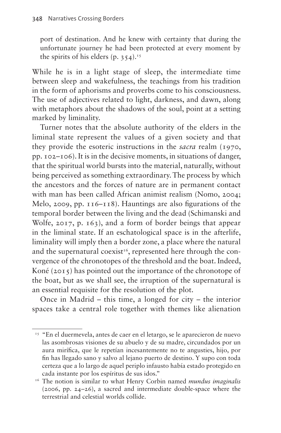port of destination. And he knew with certainty that during the unfortunate journey he had been protected at every moment by the spirits of his elders  $(p. 354)^{15}$ 

While he is in a light stage of sleep, the intermediate time between sleep and wakefulness, the teachings from his tradition in the form of aphorisms and proverbs come to his consciousness. The use of adjectives related to light, darkness, and dawn, along with metaphors about the shadows of the soul, point at a setting marked by liminality.

Turner notes that the absolute authority of the elders in the liminal state represent the values of a given society and that they provide the esoteric instructions in the *sacra* realm (1970, pp. 102–106). It is in the decisive moments, in situations of danger, that the spiritual world bursts into the material, naturally, without being perceived as something extraordinary. The process by which the ancestors and the forces of nature are in permanent contact with man has been called African animist realism (Nomo, 2004; Melo, 2009, pp. 116–118). Hauntings are also figurations of the temporal border between the living and the dead (Schimanski and Wolfe, 2017, p. 163), and a form of border beings that appear in the liminal state. If an eschatological space is in the afterlife, liminality will imply then a border zone, a place where the natural and the supernatural coexist<sup>16</sup>, represented here through the convergence of the chronotopes of the threshold and the boat. Indeed, Koné (2015) has pointed out the importance of the chronotope of the boat, but as we shall see, the irruption of the supernatural is an essential requisite for the resolution of the plot.

Once in Madrid – this time, a longed for city – the interior spaces take a central role together with themes like alienation

<span id="page-9-0"></span><sup>&</sup>lt;sup>15</sup> "En el duermevela, antes de caer en el letargo, se le aparecieron de nuevo las asombrosas visiones de su abuelo y de su madre, circundados por un aura mirífica, que le repetían incesantemente no te angusties, hijo, por fin has llegado sano y salvo al lejano puerto de destino. Y supo con toda certeza que a lo largo de aquel periplo infausto había estado protegido en cada instante por los espíritus de sus idos."

<span id="page-9-1"></span><sup>16</sup> The notion is similar to what Henry Corbin named *mundus imaginalis*  (2006, pp. 24–26), a sacred and intermediate double-space where the terrestrial and celestial worlds collide.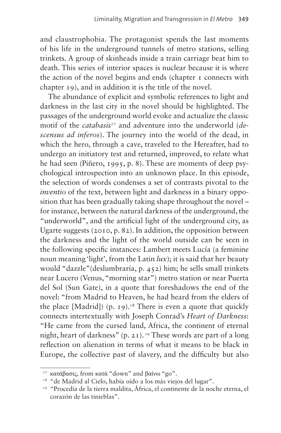and claustrophobia. The protagonist spends the last moments of his life in the underground tunnels of metro stations, selling trinkets. A group of skinheads inside a train carriage beat him to death. This series of interior spaces is nuclear because it is where the action of the novel begins and ends (chapter 1 connects with chapter 19), and in addition it is the title of the novel.

The abundance of explicit and symbolic references to light and darkness in the last city in the novel should be highlighted. The passages of the underground world evoke and actualize the classic motif of the *catabasis*[17](#page-10-0) and adventure into the underworld (*descensus ad inferos*). The journey into the world of the dead, in which the hero, through a cave, traveled to the Hereafter, had to undergo an initiatory test and returned, improved, to relate what he had seen (Piñero, 1995, p. 8). These are moments of deep psychological introspection into an unknown place. In this episode, the selection of words condenses a set of contrasts pivotal to the *inventio* of the text, between light and darkness in a binary opposition that has been gradually taking shape throughout the novel – for instance, between the natural darkness of the underground, the "underworld", and the artificial light of the underground city, as Ugarte suggests (2010, p. 82). In addition, the opposition between the darkness and the light of the world outside can be seen in the following specific instances: Lambert meets Lucía (a feminine noun meaning 'light', from the Latin *lux*); it is said that her beauty would "dazzle"(deslumbraría, p. 452) him; he sells small trinkets near Lucero (Venus, "morning star") metro station or near Puerta del Sol (Sun Gate), in a quote that foreshadows the end of the novel: "from Madrid to Heaven, he had heard from the elders of the place [Madrid]) (p. 19).<sup>[18](#page-10-1)</sup> There is even a quote that quickly connects intertextually with Joseph Conrad's *Heart of Darkness*: "He came from the cursed land, Africa, the continent of eternal night, heart of darkness" (p. 21).<sup>19</sup> These words are part of a long reflection on alienation in terms of what it means to be black in Europe, the collective past of slavery, and the difficulty but also

<span id="page-10-0"></span><sup>17</sup> κατάβασις, from κατὰ "down" and βαίνω "go".

<span id="page-10-1"></span><sup>&</sup>lt;sup>18</sup> "de Madrid al Cielo, había oído a los más viejos del lugar".

<span id="page-10-2"></span><sup>19</sup> "Procedía de la tierra maldita, África, el continente de la noche eterna, el corazón de las tinieblas".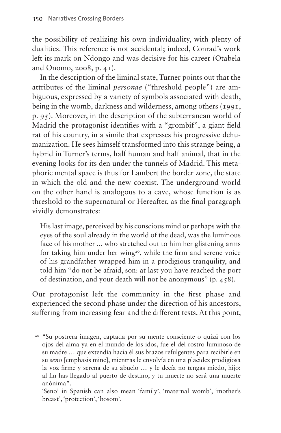the possibility of realizing his own individuality, with plenty of dualities. This reference is not accidental; indeed, Conrad's work left its mark on Ndongo and was decisive for his career (Otabela and Onomo, 2008, p. 41).

In the description of the liminal state, Turner points out that the attributes of the liminal *personae* ("threshold people") are ambiguous, expressed by a variety of symbols associated with death, being in the womb, darkness and wilderness, among others (1991, p. 95). Moreover, in the description of the subterranean world of Madrid the protagonist identifies with a "grombif", a giant field rat of his country, in a simile that expresses his progressive dehumanization. He sees himself transformed into this strange being, a hybrid in Turner's terms, half human and half animal, that in the evening looks for its den under the tunnels of Madrid. This metaphoric mental space is thus for Lambert the border zone, the state in which the old and the new coexist. The underground world on the other hand is analogous to a cave, whose function is as threshold to the supernatural or Hereafter, as the final paragraph vividly demonstrates:

His last image, perceived by his conscious mind or perhaps with the eyes of the soul already in the world of the dead, was the luminous face of his mother ... who stretched out to him her glistening arms for taking him under her wing<sup>[20](#page-11-0)</sup>, while the firm and serene voice of his grandfather wrapped him in a prodigious tranquility, and told him "do not be afraid, son: at last you have reached the port of destination, and your death will not be anonymous" (p. 458).

Our protagonist left the community in the first phase and experienced the second phase under the direction of his ancestors, suffering from increasing fear and the different tests. At this point,

<span id="page-11-0"></span><sup>20</sup> "Su postrera imagen, captada por su mente consciente o quizá con los ojos del alma ya en el mundo de los idos, fue el del rostro luminoso de su madre … que extendía hacia él sus brazos refulgentes para recibirle en su *seno* [emphasis mine], mientras le envolvía en una placidez prodigiosa la voz firme y serena de su abuelo … y le decía no tengas miedo, hijo: al fin has llegado al puerto de destino, y tu muerte no será una muerte anónima".

 <sup>&#</sup>x27;Seno' in Spanish can also mean 'family', 'maternal womb', 'mother's breast', 'protection', 'bosom'.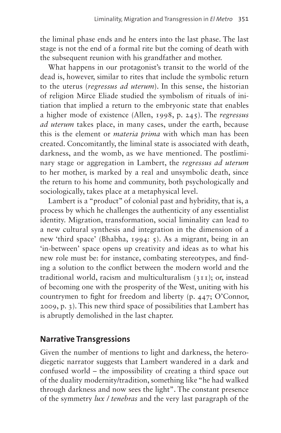the liminal phase ends and he enters into the last phase. The last stage is not the end of a formal rite but the coming of death with the subsequent reunion with his grandfather and mother.

What happens in our protagonist's transit to the world of the dead is, however, similar to rites that include the symbolic return to the uterus (*regressus ad uterum*). In this sense, the historian of religion Mirce Eliade studied the symbolism of rituals of initiation that implied a return to the embryonic state that enables a higher mode of existence (Allen, 1998, p. 245). The *regressus ad uterum* takes place, in many cases, under the earth, because this is the element or *materia prima* with which man has been created. Concomitantly, the liminal state is associated with death, darkness, and the womb, as we have mentioned. The postliminary stage or aggregation in Lambert, the *regressus ad uterum* to her mother, is marked by a real and unsymbolic death, since the return to his home and community, both psychologically and sociologically, takes place at a metaphysical level.

Lambert is a "product" of colonial past and hybridity, that is, a process by which he challenges the authenticity of any essentialist identity. Migration, transformation, social liminality can lead to a new cultural synthesis and integration in the dimension of a new 'third space' (Bhabha, 1994: 5). As a migrant, being in an 'in-between' space opens up creativity and ideas as to what his new role must be: for instance, combating stereotypes, and finding a solution to the conflict between the modern world and the traditional world, racism and multiculturalism (311); or, instead of becoming one with the prosperity of the West, uniting with his countrymen to fight for freedom and liberty (p. 447; O'Connor, 2009, p. 3). This new third space of possibilities that Lambert has is abruptly demolished in the last chapter.

#### **Narrative Transgressions**

Given the number of mentions to light and darkness, the heterodiegetic narrator suggests that Lambert wandered in a dark and confused world – the impossibility of creating a third space out of the duality modernity/tradition, something like "he had walked through darkness and now sees the light". The constant presence of the symmetry *lux / tenebras* and the very last paragraph of the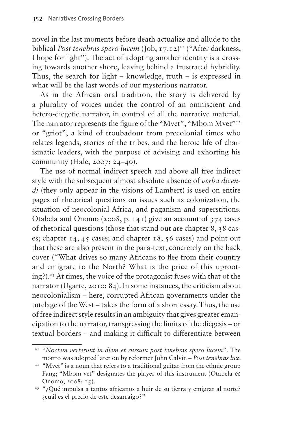novel in the last moments before death actualize and allude to the biblical *Post tenebras spero lucem* (Job, 17.12)<sup>21</sup> ("After darkness, I hope for light"). The act of adopting another identity is a crossing towards another shore, leaving behind a frustrated hybridity. Thus, the search for light – knowledge, truth – is expressed in what will be the last words of our mysterious narrator.

As in the African oral tradition, the story is delivered by a plurality of voices under the control of an omniscient and hetero-diegetic narrator, in control of all the narrative material. The narrator represents the figure of the "Mvet", "Mbom Mvet"<sup>22</sup> or "griot", a kind of troubadour from precolonial times who relates legends, stories of the tribes, and the heroic life of charismatic leaders, with the purpose of advising and exhorting his community (Hale, 2007: 24–40).

The use of normal indirect speech and above all free indirect style with the subsequent almost absolute absence of *verba dicendi* (they only appear in the visions of Lambert) is used on entire pages of rhetorical questions on issues such as colonization, the situation of neocolonial Africa, and paganism and superstitions. Otabela and Onomo (2008, p. 141) give an account of 374 cases of rhetorical questions (those that stand out are chapter 8, 38 cases; chapter 14, 45 cases; and chapter 18, 56 cases) and point out that these are also present in the para-text, concretely on the back cover ("What drives so many Africans to flee from their country and emigrate to the North? What is the price of this uprooting?)[.23](#page-13-2) At times, the voice of the protagonist fuses with that of the narrator (Ugarte, 2010: 84). In some instances, the criticism about neocolonialism – here, corrupted African governments under the tutelage of the West – takes the form of a short essay. Thus, the use of free indirect style results in an ambiguity that gives greater emancipation to the narrator, transgressing the limits of the diegesis – or textual borders – and making it difficult to differentiate between

<span id="page-13-0"></span><sup>21</sup> "*Noctem verterunt in diem et rursum post tenebras spero lucem*". The mottto was adopted later on by reformer John Calvin – *Post tenebras lux*.

<span id="page-13-1"></span><sup>&</sup>lt;sup>22</sup> "Mvet" is a noun that refers to a traditional guitar from the ethnic group Fang; "Mbom vet" designates the player of this instrument (Otabela & Onomo, 2008: 15).

<span id="page-13-2"></span><sup>&</sup>lt;sup>23</sup> "¿Qué impulsa a tantos africanos a huir de su tierra y emigrar al norte? ¿cuál es el precio de este desarraigo?"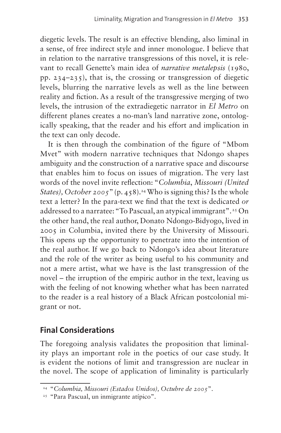diegetic levels. The result is an effective blending, also liminal in a sense, of free indirect style and inner monologue. I believe that in relation to the narrative transgressions of this novel, it is relevant to recall Genette's main idea of *narrative metalepsis* (1980, pp. 234–235), that is, the crossing or transgression of diegetic levels, blurring the narrative levels as well as the line between reality and fiction. As a result of the transgressive merging of two levels, the intrusion of the extradiegetic narrator in *El Metro* on different planes creates a no-man's land narrative zone, ontologically speaking, that the reader and his effort and implication in the text can only decode.

It is then through the combination of the figure of "Mbom Mvet" with modern narrative techniques that Ndongo shapes ambiguity and the construction of a narrative space and discourse that enables him to focus on issues of migration. The very last words of the novel invite reflection: "*Columbia*, *Missouri (United States), October 2005*" (p. 458).<sup>24</sup> Who is signing this? Is the whole text a letter? In the para-text we find that the text is dedicated *or* addressed to a narratee: "To Pascual, an atypical immigrant".<sup>25</sup> On the other hand, the real author, Donato Ndongo-Bidyogo, lived in 2005 in Columbia, invited there by the University of Missouri. This opens up the opportunity to penetrate into the intention of the real author. If we go back to Ndongo's idea about literature and the role of the writer as being useful to his community and not a mere artist, what we have is the last transgression of the novel – the irruption of the empiric author in the text, leaving us with the feeling of not knowing whether what has been narrated to the reader is a real history of a Black African postcolonial migrant or not.

### **Final Considerations**

The foregoing analysis validates the proposition that liminality plays an important role in the poetics of our case study. It is evident the notions of limit and transgression are nuclear in the novel. The scope of application of liminality is particularly

<span id="page-14-0"></span><sup>&</sup>lt;sup>24</sup> "Columbia, Missouri (Estados Unidos), Octubre de 2005".<br><sup>25</sup> "Para Pascual, un inmigrante atípico".

<span id="page-14-1"></span>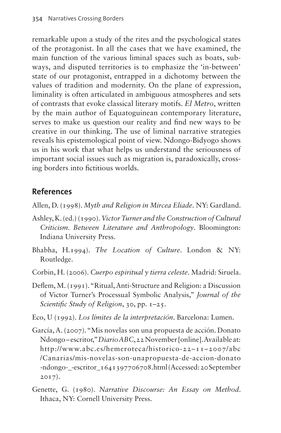remarkable upon a study of the rites and the psychological states of the protagonist. In all the cases that we have examined, the main function of the various liminal spaces such as boats, subways, and disputed territories is to emphasize the 'in-between' state of our protagonist, entrapped in a dichotomy between the values of tradition and modernity. On the plane of expression, liminality is often articulated in ambiguous atmospheres and sets of contrasts that evoke classical literary motifs. *El Metro*, written by the main author of Equatoguinean contemporary literature, serves to make us question our reality and find new ways to be creative in our thinking. The use of liminal narrative strategies reveals his epistemological point of view. Ndongo-Bidyogo shows us in his work that what helps us understand the seriousness of important social issues such as migration is, paradoxically, crossing borders into fictitious worlds.

#### **References**

Allen, D. (1998). *Myth and Religion in Mircea Eliade*. NY: Gardland.

- Ashley, K. (ed.) (1990). *Victor Turner and the Construction of Cultural Criticism. Between Literature and Anthropology*. Bloomington: Indiana University Press.
- Bhabha, H.1994). *The Location of Culture*. London & NY: Routledge.
- Corbin, H. (2006). *Cuerpo espiritual y tierra celeste*. Madrid: Siruela.
- Deflem, M. (1991). "Ritual, Anti-Structure and Religion: a Discussion of Victor Turner's Processual Symbolic Analysis," *Journal of the Scientific Study of Religion*, 30, pp. 1–25.
- Eco, U (1992). *Los límites de la interpretación*. Barcelona: Lumen.
- García, A. (2007). "Mis novelas son una propuesta de acción. Donato Ndongo – escritor," *Diario ABC*, 22 November [online]. Available at: [http://www.abc.es/hemeroteca/historico-22–11–2007/abc](http://www.abc.es/hemeroteca/historico-22-11-2007/abc/Canarias/mis-novelas-son-unapropuesta-de-accion-donato-ndongo-_-escritor_1641397706708.html) [/Canarias/mis-novelas-son-unapropuesta-de-accion-donato](http://www.abc.es/hemeroteca/historico-22-11-2007/abc/Canarias/mis-novelas-son-unapropuesta-de-accion-donato-ndongo-_-escritor_1641397706708.html) [-ndongo-\\_-escritor\\_1641397706708.html](http://www.abc.es/hemeroteca/historico-22-11-2007/abc/Canarias/mis-novelas-son-unapropuesta-de-accion-donato-ndongo-_-escritor_1641397706708.html) (Accessed: 20 September 2017).
- Genette, G. (1980). *Narrative Discourse: An Essay on Method*. Ithaca, NY: Cornell University Press.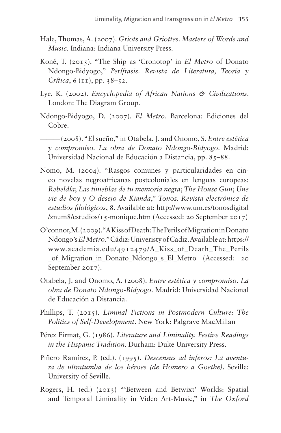- Hale, Thomas, A. (2007). *Griots and Griottes. Masters of Words and Music*. Indiana: Indiana University Press.
- Koné, T. (2015). "The Ship as 'Cronotop' in *El Metro* of Donato Ndongo-Bidyogo," *Perífrasis*. *Revista de Literatura, Teoría y Crítica*, 6 (11), pp. 38–52.
- Lye, K. (2002). *Encyclopedia of African Nations & Civilizations*. London: The Diagram Group.
- Ndongo-Bidyogo, D. (2007). *El Metro*. Barcelona: Ediciones del Cobre.

——— (2008). "El sueño," in Otabela, J. and Onomo, S. *Entre estética y compromiso. La obra de Donato Ndongo-Bidyogo*. Madrid: Universidad Nacional de Educación a Distancia, pp. 85–88.

- Nomo, M. (2004). "Rasgos comunes y particularidades en cinco novelas negroafricanas postcoloniales en lenguas europeas: *Rebeldía*; *Las tinieblas de tu memoria negra*; *The House Gun*; *Une vie de boy* y *O desejo de Kianda*," *Tonos. Revista electrónica de estudios filológicos*, 8. Available at: [http://www.um.es/tonosdigital](http://www.um.es/tonosdigital/znum8/estudios/15-monique.htm) [/znum8/estudios/15-monique.htm](http://www.um.es/tonosdigital/znum8/estudios/15-monique.htm) (Accessed: 20 September 2017)
- O'connor, M. (2009). "A Kiss of Death: The Perils of Migration in Donato Ndongo's *El Metro*." Cádiz: Univeristy of Cadiz. Available at: [https://](https://www.academia.edu/‌4912479/‌A_Kiss_of_‌Death_‌The_Perils_of_Migration_in_Donato_Ndongo_s_El_Metro) [www.academia.edu/4912479/A\\_Kiss\\_of\\_Death\\_The\\_Perils](https://www.academia.edu/‌4912479/‌A_Kiss_of_‌Death_‌The_Perils_of_Migration_in_Donato_Ndongo_s_El_Metro) [\\_of\\_Migration\\_in\\_Donato\\_Ndongo\\_s\\_El\\_Metro](https://www.academia.edu/‌4912479/‌A_Kiss_of_‌Death_‌The_Perils_of_Migration_in_Donato_Ndongo_s_El_Metro) (Accessed: 20 September 2017).
- Otabela, J. and Onomo, A. (2008). *Entre estética y compromiso. La obra de Donato Ndongo-Bidyogo*. Madrid: Universidad Nacional de Educación a Distancia.
- Phillips, T. (2015). *Liminal Fictions in Postmodern Culture: The Politics of Self-Development*. New York: Palgrave MacMillan
- Pérez Firmat, G. (1986). *Literature and Liminality. Festive Readings in the Hispanic Tradition*. Durham: Duke University Press.
- Piñero Ramírez, P. (ed.). (1995). *Descensus ad inferos: La aventura de ultratumba de los héroes (de Homero a Goethe)*. Seville: University of Seville.
- Rogers, H. (ed.) (2013) "'Between and Betwixt' Worlds: Spatial and Temporal Liminality in Video Art-Music," in *The Oxford*